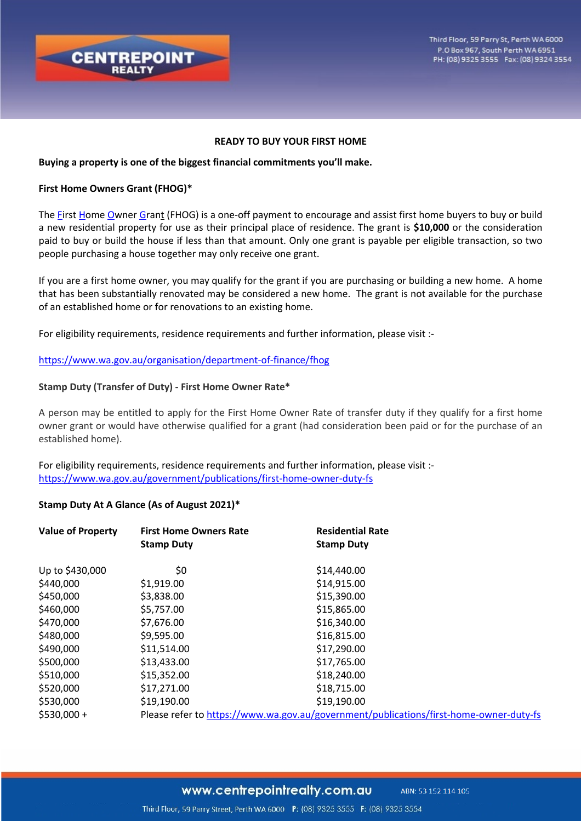

#### **READY TO BUY YOUR FIRST HOME**

#### **Buying a property is one of the biggest financial commitments you'll make.**

### **First Home Owners Grant (FHOG)\***

The First Home Owner Grant (FHOG) is a one-off payment to encourage and assist first home buyers to buy or build a new residential property for use as their principal place of residence. The grant is **\$10,000** or the consideration paid to buy or build the house if less than that amount. Only one grant is payable per eligible transaction, so two people purchasing a house together may only receive one grant.

If you are a first home owner, you may qualify for the grant if you are purchasing or building a new home. A home that has been substantially renovated may be considered a new home. The grant is not available for the purchase of an established home or for renovations to an existing home.

For eligibility requirements, residence requirements and further information, please visit :-

# https://www.wa.gov.au/organisation/department-of-finance/fhog

#### **Stamp Duty (Transfer of Duty) - First Home Owner Rate\***

A person may be entitled to apply for the First Home Owner Rate of transfer duty if they qualify for a first home owner grant or would have otherwise qualified for a grant (had consideration been paid or for the purchase of an established home).

For eligibility requirements, residence requirements and further information, please visit : https://www.wa.gov.au/government/publications/first-home-owner-duty-fs

# **Stamp Duty At A Glance (As of August 2021)\***

| <b>Value of Property</b> | <b>First Home Owners Rate</b><br><b>Stamp Duty</b> | <b>Residential Rate</b><br><b>Stamp Duty</b>                                           |
|--------------------------|----------------------------------------------------|----------------------------------------------------------------------------------------|
| Up to \$430,000          | \$0                                                | \$14,440.00                                                                            |
| \$440,000                | \$1,919.00                                         | \$14,915.00                                                                            |
| \$450,000                | \$3,838.00                                         | \$15,390.00                                                                            |
| \$460,000                | \$5,757.00                                         | \$15,865.00                                                                            |
| \$470,000                | \$7,676.00                                         | \$16,340.00                                                                            |
| \$480,000                | \$9,595.00                                         | \$16,815.00                                                                            |
| \$490,000                | \$11,514.00                                        | \$17,290.00                                                                            |
| \$500,000                | \$13,433.00                                        | \$17,765.00                                                                            |
| \$510,000                | \$15,352.00                                        | \$18,240.00                                                                            |
| \$520,000                | \$17,271.00                                        | \$18,715.00                                                                            |
| \$530,000                | \$19,190.00                                        | \$19,190.00                                                                            |
| $$530,000+$              |                                                    | Please refer to https://www.wa.gov.au/government/publications/first-home-owner-duty-fs |